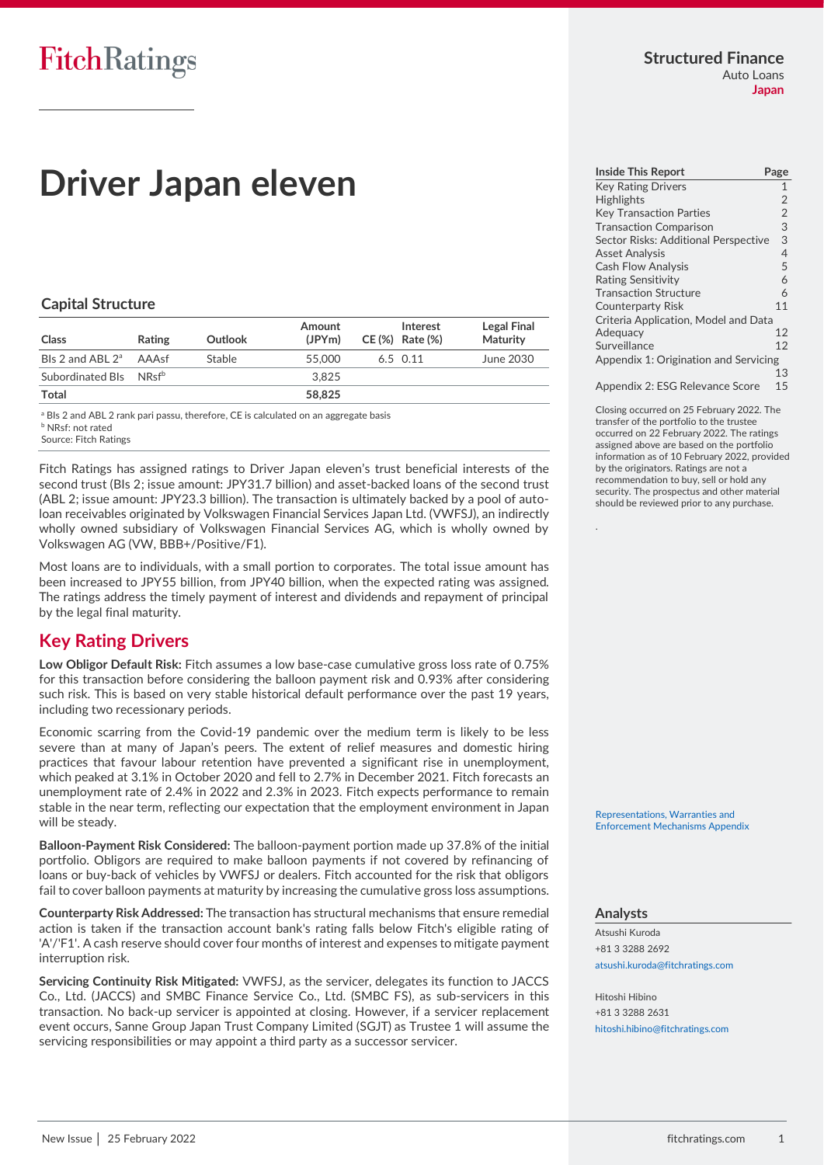# **Driver Japan eleven**

#### **Capital Structure**

| Class                              | <b>Rating</b> | Outlook | Amount<br>(JPYm) | Interest<br>CE (%) Rate (%) | <b>Legal Final</b><br>Maturity |
|------------------------------------|---------------|---------|------------------|-----------------------------|--------------------------------|
| Bls 2 and ABL $2^{\circ}$          | AAAsf         | Stable  | 55,000           | 6.5 0.11                    | June 2030                      |
| Subordinated Bls NRsf <sup>b</sup> |               |         | 3.825            |                             |                                |
| Total                              |               |         | 58,825           |                             |                                |

<sup>a</sup> BIs 2 and ABL 2 rank pari passu, therefore, CE is calculated on an aggregate basis NRsf: not rated

Source: Fitch Ratings

Fitch Ratings has assigned ratings to Driver Japan eleven's trust beneficial interests of the second trust (BIs 2; issue amount: JPY31.7 billion) and asset-backed loans of the second trust (ABL 2; issue amount: JPY23.3 billion). The transaction is ultimately backed by a pool of autoloan receivables originated by Volkswagen Financial Services Japan Ltd. (VWFSJ), an indirectly wholly owned subsidiary of Volkswagen Financial Services AG, which is wholly owned by Volkswagen AG (VW, BBB+/Positive/F1).

Most loans are to individuals, with a small portion to corporates. The total issue amount has been increased to JPY55 billion, from JPY40 billion, when the expected rating was assigned. The ratings address the timely payment of interest and dividends and repayment of principal by the legal final maturity.

## <span id="page-0-0"></span>**Key Rating Drivers**

**Low Obligor Default Risk:** Fitch assumes a low base-case cumulative gross loss rate of 0.75% for this transaction before considering the balloon payment risk and 0.93% after considering such risk. This is based on very stable historical default performance over the past 19 years, including two recessionary periods.

Economic scarring from the Covid-19 pandemic over the medium term is likely to be less severe than at many of Japan's peers. The extent of relief measures and domestic hiring practices that favour labour retention have prevented a significant rise in unemployment, which peaked at 3.1% in October 2020 and fell to 2.7% in December 2021. Fitch forecasts an unemployment rate of 2.4% in 2022 and 2.3% in 2023. Fitch expects performance to remain stable in the near term, reflecting our expectation that the employment environment in Japan will be steady.

**Balloon-Payment Risk Considered:** The balloon-payment portion made up 37.8% of the initial portfolio. Obligors are required to make balloon payments if not covered by refinancing of loans or buy-back of vehicles by VWFSJ or dealers. Fitch accounted for the risk that obligors fail to cover balloon payments at maturity by increasing the cumulative gross loss assumptions.

**Counterparty Risk Addressed:** The transaction has structural mechanisms that ensure remedial action is taken if the transaction account bank's rating falls below Fitch's eligible rating of 'A'/'F1'. A cash reserve should cover four months of interest and expenses to mitigate payment interruption risk.

**Servicing Continuity Risk Mitigated:** VWFSJ, as the servicer, delegates its function to JACCS Co., Ltd. (JACCS) and SMBC Finance Service Co., Ltd. (SMBC FS), as sub-servicers in this transaction. No back-up servicer is appointed at closing. However, if a servicer replacement event occurs, Sanne Group Japan Trust Company Limited (SGJT) as Trustee 1 will assume the servicing responsibilities or may appoint a third party as a successor servicer.

#### **Structured Finance** Auto Loans

**Japan**

| <b>Inside This Report</b>             |                |
|---------------------------------------|----------------|
|                                       | Page           |
| <b>Key Rating Drivers</b>             | $\mathbf{1}$   |
| <b>Highlights</b>                     | $\overline{2}$ |
| <b>Key Transaction Parties</b>        | $\overline{2}$ |
| <b>Transaction Comparison</b>         | 3              |
| Sector Risks: Additional Perspective  | 3              |
| <b>Asset Analysis</b>                 | $\overline{4}$ |
| <b>Cash Flow Analysis</b>             | 5              |
| <b>Rating Sensitivity</b>             | 6              |
| <b>Transaction Structure</b>          | 6              |
| <b>Counterparty Risk</b>              | 11             |
| Criteria Application, Model and Data  |                |
| Adequacy                              | 12             |
| Surveillance                          | 12             |
| Appendix 1: Origination and Servicing |                |
|                                       | 13             |
| Appendix 2: ESG Relevance Score       | 15             |

Closing occurred on 25 February 2022. The transfer of the portfolio to the trustee

occurred on 22 February 2022. The ratings assigned above are based on the portfolio information as of 10 February 2022, provided by the originators. Ratings are not a recommendation to buy, sell or hold any security. The prospectus and other material should be reviewed prior to any purchase.

[Representations, Warranties and](https://www.fitchratings.com/site/re/10194431)  [Enforcement Mechanisms Appendix](https://www.fitchratings.com/site/re/10194431) 

#### **Analysts**

.

Atsushi Kuroda +81 3 3288 2692 [atsushi.kuroda@fitchratings.com](mailto:atsushi.kuroda@fitchratings.com)

Hitoshi Hibino +81 3 3288 2631 [hitoshi.hibino@fitchratings.com](mailto:hitoshi.hibino@fitchratings.com)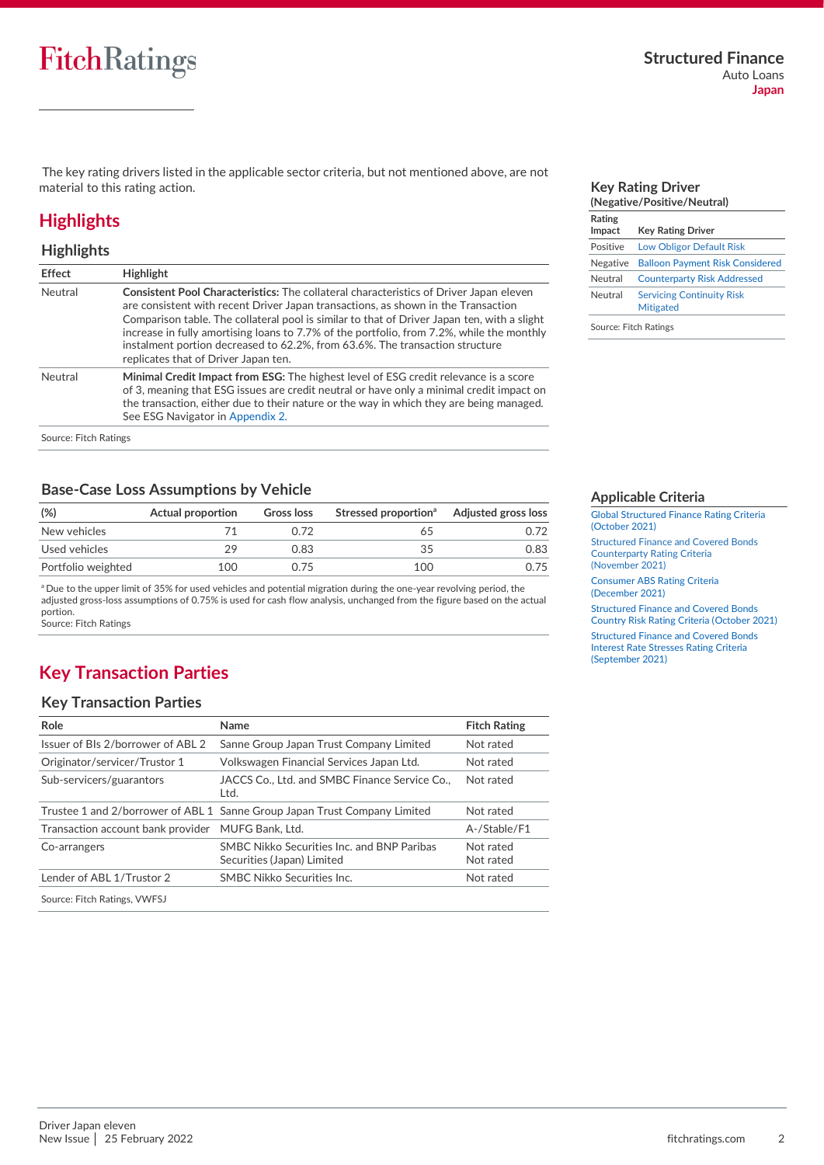The key rating drivers listed in the applicable sector criteria, but not mentioned above, are not material to this rating action.

## <span id="page-1-0"></span>**Highlights**

#### **Highlights**

| <b>Effect</b> | <b>Highlight</b>                                                                                                                                                                                                                                                                                                                                                                                                                                                                                       |
|---------------|--------------------------------------------------------------------------------------------------------------------------------------------------------------------------------------------------------------------------------------------------------------------------------------------------------------------------------------------------------------------------------------------------------------------------------------------------------------------------------------------------------|
| Neutral       | <b>Consistent Pool Characteristics:</b> The collateral characteristics of Driver Japan eleven<br>are consistent with recent Driver Japan transactions, as shown in the Transaction<br>Comparison table. The collateral pool is similar to that of Driver Japan ten, with a slight<br>increase in fully amortising loans to 7.7% of the portfolio, from 7.2%, while the monthly<br>instalment portion decreased to 62.2%, from 63.6%. The transaction structure<br>replicates that of Driver Japan ten. |
| Neutral       | Minimal Credit Impact from ESG: The highest level of ESG credit relevance is a score<br>of 3, meaning that ESG issues are credit neutral or have only a minimal credit impact on<br>the transaction, either due to their nature or the way in which they are being managed.<br>See ESG Navigator in Appendix 2.                                                                                                                                                                                        |

### **Base-Case Loss Assumptions by Vehicle**

| (%)                | Actual proportion | Gross loss | Stressed proportion <sup>a</sup> | <b>Adjusted gross loss</b> |
|--------------------|-------------------|------------|----------------------------------|----------------------------|
| New vehicles       |                   | O 72       |                                  | 1.72                       |
| Used vehicles      | 29                | 0.83       | 35                               | 0.83                       |
| Portfolio weighted | 100               | O 75       | 100                              | 0.75                       |

<sup>a</sup> Due to the upper limit of 35% for used vehicles and potential migration during the one-year revolving period, the adjusted gross-loss assumptions of 0.75% is used for cash flow analysis, unchanged from the figure based on the actual portion.

.<br>Source: Fitch Ratings

## <span id="page-1-1"></span>**Key Transaction Parties**

#### **Key Transaction Parties**

| Role                              | Name                                                                      | <b>Fitch Rating</b>    |
|-----------------------------------|---------------------------------------------------------------------------|------------------------|
| Issuer of BIs 2/borrower of ABL 2 | Sanne Group Japan Trust Company Limited                                   | Not rated              |
| Originator/servicer/Trustor 1     | Volkswagen Financial Services Japan Ltd.                                  | Not rated              |
| Sub-servicers/guarantors          | JACCS Co., Ltd. and SMBC Finance Service Co.,<br>Ltd.                     | Not rated              |
|                                   | Trustee 1 and 2/borrower of ABL 1 Sanne Group Japan Trust Company Limited | Not rated              |
| Transaction account bank provider | MUFG Bank, Ltd.                                                           | A-/Stable/F1           |
| Co-arrangers                      | SMBC Nikko Securities Inc. and BNP Paribas<br>Securities (Japan) Limited  | Not rated<br>Not rated |
| Lender of ABL 1/Trustor 2         | SMBC Nikko Securities Inc.                                                | Not rated              |
| Source: Fitch Ratings, VWFSJ      |                                                                           |                        |

#### <span id="page-1-3"></span>**Key Rating Driver (Negative/Positive/Neutral) Rating**

| .<br>Impact     | <b>Key Rating Driver</b>                             |
|-----------------|------------------------------------------------------|
| Positive        | <b>Low Obligor Default Risk</b>                      |
| <b>Negative</b> | <b>Balloon Payment Risk Considered</b>               |
| Neutral         | <b>Counterparty Risk Addressed</b>                   |
| Neutral         | <b>Servicing Continuity Risk</b><br><b>Mitigated</b> |
|                 |                                                      |

Source: Fitch Ratings

#### <span id="page-1-2"></span>**Applicable Criteria**

[Global Structured Finance Rating Criteria](https://www.fitchratings.com/research/structured-finance/global-structured-finance-rating-criteria-26-10-2021)  [\(October](https://www.fitchratings.com/research/structured-finance/global-structured-finance-rating-criteria-26-10-2021) 2021)

[Structured Finance and Covered Bonds](https://www.fitchratings.com/research/structured-finance/structured-finance-covered-bonds-counterparty-rating-criteria-04-11-2021)  [Counterparty Rating Criteria](https://www.fitchratings.com/research/structured-finance/structured-finance-covered-bonds-counterparty-rating-criteria-04-11-2021)  [\(November](https://www.fitchratings.com/research/structured-finance/structured-finance-covered-bonds-counterparty-rating-criteria-04-11-2021) 2021)

[Consumer ABS Rating Criteria](https://www.fitchratings.com/research/structured-finance/consumer-abs-rating-criteria-23-12-2021)  [\(December](https://www.fitchratings.com/research/structured-finance/consumer-abs-rating-criteria-23-12-2021) 2021)

[Structured Finance and Covered Bonds](https://www.fitchratings.com/research/structured-finance/structured-finance-covered-bonds-country-risk-rating-criteria-28-10-2021)  [Country Risk Rating Criteria \(October](https://www.fitchratings.com/research/structured-finance/structured-finance-covered-bonds-country-risk-rating-criteria-28-10-2021) 2021)

[Structured Finance and Covered Bonds](https://www.fitchratings.com/research/structured-finance/structured-finance-covered-bonds-interest-rate-stresses-rating-criteria-20-09-2021)  [Interest Rate Stresses Rating Criteria](https://www.fitchratings.com/research/structured-finance/structured-finance-covered-bonds-interest-rate-stresses-rating-criteria-20-09-2021)  [\(September 2021\)](https://www.fitchratings.com/research/structured-finance/structured-finance-covered-bonds-interest-rate-stresses-rating-criteria-20-09-2021)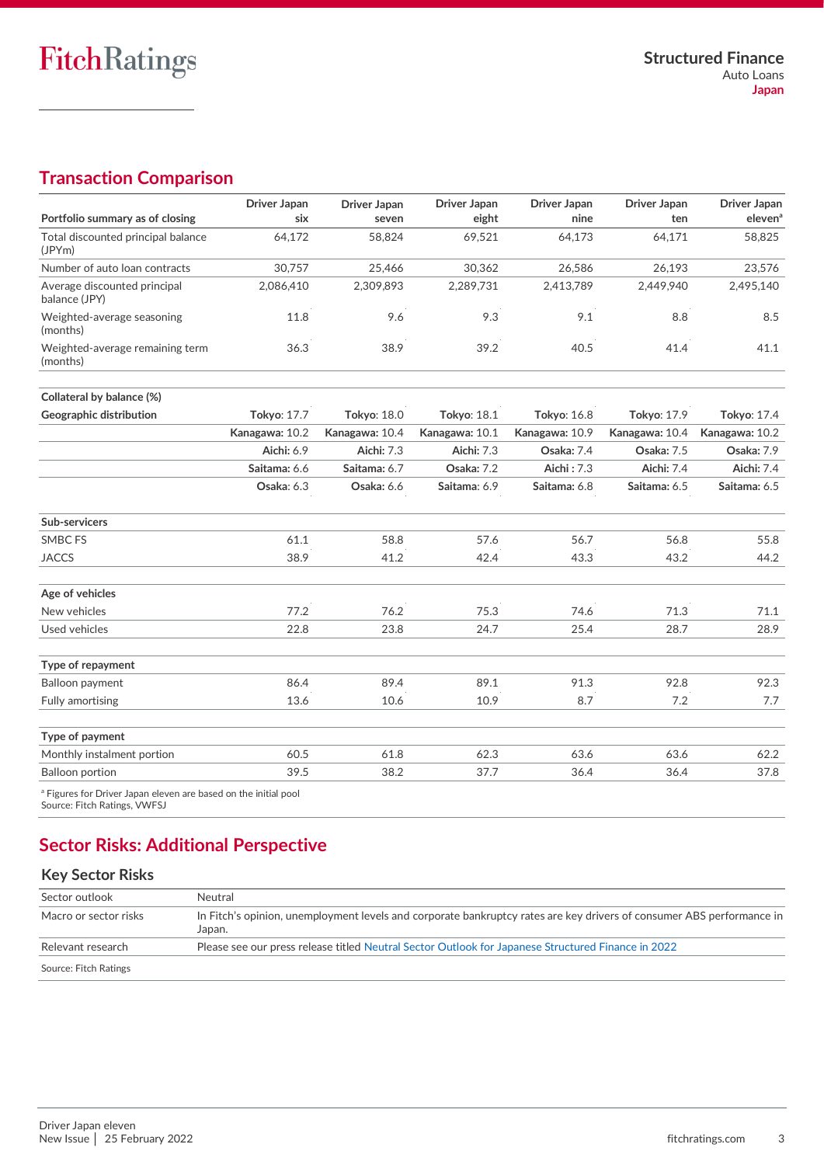## <span id="page-2-0"></span>**Transaction Comparison**

| Portfolio summary as of closing                                                                            | <b>Driver Japan</b><br>six | Driver Japan       | Driver Japan<br>eight | Driver Japan<br>nine | <b>Driver Japan</b><br>ten | Driver Japan<br>eleven <sup>a</sup> |
|------------------------------------------------------------------------------------------------------------|----------------------------|--------------------|-----------------------|----------------------|----------------------------|-------------------------------------|
|                                                                                                            |                            | seven              |                       |                      |                            |                                     |
| Total discounted principal balance<br>(JPYm)                                                               | 64.172                     | 58.824             | 69,521                | 64.173               | 64.171                     | 58.825                              |
| Number of auto loan contracts                                                                              | 30,757                     | 25,466             | 30,362                | 26,586               | 26,193                     | 23,576                              |
| Average discounted principal<br>balance (JPY)                                                              | 2,086,410                  | 2,309,893          | 2,289,731             | 2,413,789            | 2,449,940                  | 2,495,140                           |
| Weighted-average seasoning<br>(months)                                                                     | 11.8                       | 9.6                | 9.3                   | 9.1                  | 8.8                        | 8.5                                 |
| Weighted-average remaining term<br>(months)                                                                | 36.3                       | 38.9               | 39.2                  | 40.5                 | 41.4                       | 41.1                                |
| Collateral by balance (%)                                                                                  |                            |                    |                       |                      |                            |                                     |
| Geographic distribution                                                                                    | Tokyo: 17.7                | <b>Tokyo: 18.0</b> | Tokyo: 18.1           | <b>Tokyo: 16.8</b>   | Tokyo: 17.9                | Tokyo: 17.4                         |
|                                                                                                            | Kanagawa: 10.2             | Kanagawa: 10.4     | Kanagawa: 10.1        | Kanagawa: 10.9       | Kanagawa: 10.4             | Kanagawa: 10.2                      |
|                                                                                                            | Aichi: 6.9                 | Aichi: 7.3         | <b>Aichi: 7.3</b>     | Osaka: 7.4           | Osaka: 7.5                 | Osaka: 7.9                          |
|                                                                                                            | Saitama: 6.6               | Saitama: 6.7       | Osaka: 7.2            | Aichi: 7.3           | Aichi: 7.4                 | <b>Aichi: 7.4</b>                   |
|                                                                                                            | Osaka: 6.3                 | Osaka: 6.6         | Saitama: 6.9          | Saitama: 6.8         | Saitama: 6.5               | Saitama: 6.5                        |
| Sub-servicers                                                                                              |                            |                    |                       |                      |                            |                                     |
| <b>SMBC FS</b>                                                                                             | 61.1                       | 58.8               | 57.6                  | 56.7                 | 56.8                       | 55.8                                |
| <b>JACCS</b>                                                                                               | 38.9                       | 41.2               | 42.4                  | 43.3                 | 43.2                       | 44.2                                |
| Age of vehicles                                                                                            |                            |                    |                       |                      |                            |                                     |
| New vehicles                                                                                               | 77.2                       | 76.2               | 75.3                  | 74.6                 | 71.3                       | 71.1                                |
| Used vehicles                                                                                              | 22.8                       | 23.8               | 24.7                  | 25.4                 | 28.7                       | 28.9                                |
| Type of repayment                                                                                          |                            |                    |                       |                      |                            |                                     |
| Balloon payment                                                                                            | 86.4                       | 89.4               | 89.1                  | 91.3                 | 92.8                       | 92.3                                |
| <b>Fully amortising</b>                                                                                    | 13.6                       | 10.6               | 10.9                  | 8.7                  | 7.2                        | 7.7                                 |
| Type of payment                                                                                            |                            |                    |                       |                      |                            |                                     |
| Monthly instalment portion                                                                                 | 60.5                       | 61.8               | 62.3                  | 63.6                 | 63.6                       | 62.2                                |
| <b>Balloon portion</b>                                                                                     | 39.5                       | 38.2               | 37.7                  | 36.4                 | 36.4                       | 37.8                                |
| <sup>a</sup> Figures for Driver Japan eleven are based on the initial pool<br>Source: Fitch Ratings, VWFSJ |                            |                    |                       |                      |                            |                                     |

## <span id="page-2-1"></span>**Sector Risks: Additional Perspective**

## **Key Sector Risks**

| Sector outlook        | Neutral                                                                                                                         |
|-----------------------|---------------------------------------------------------------------------------------------------------------------------------|
| Macro or sector risks | In Fitch's opinion, unemployment levels and corporate bankruptcy rates are key drivers of consumer ABS performance in<br>Japan. |
| Relevant research     | Please see our press release titled Neutral Sector Outlook for Japanese Structured Finance in 2022                              |
| Source: Fitch Ratings |                                                                                                                                 |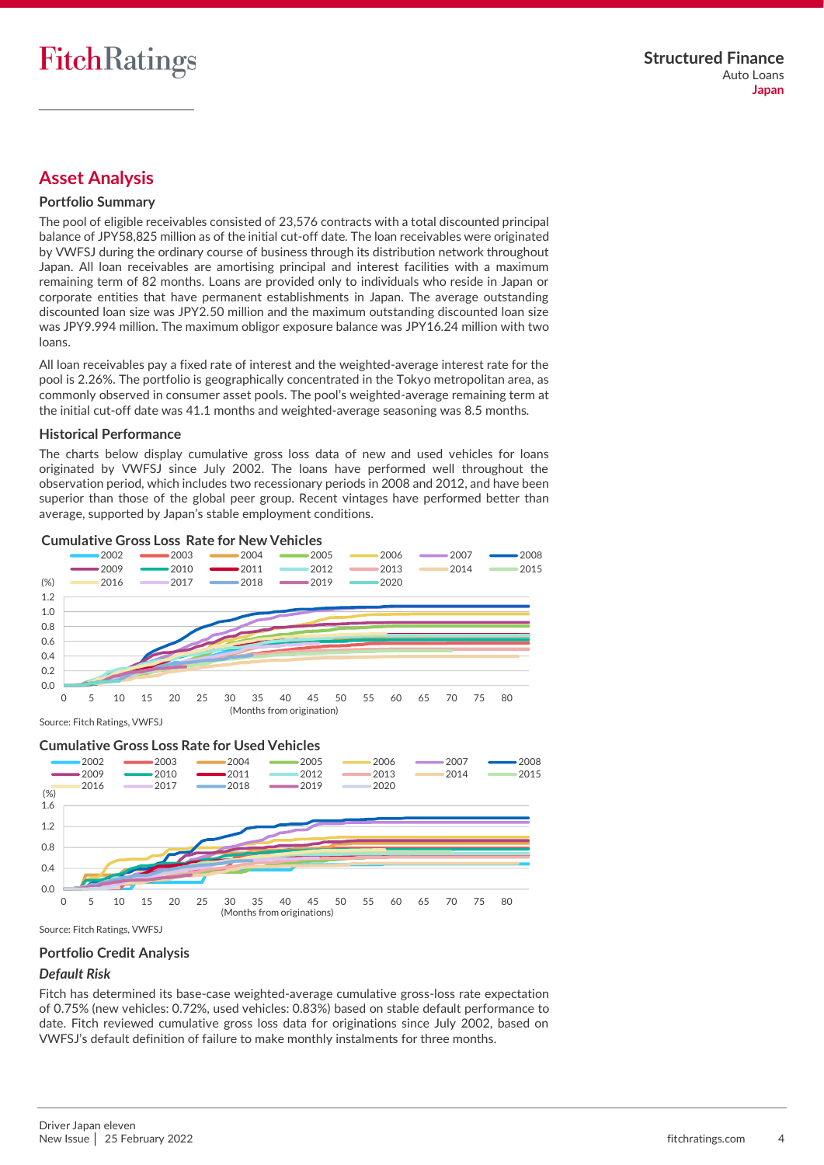## <span id="page-3-0"></span>**Asset Analysis**

#### **Portfolio Summary**

The pool of eligible receivables consisted of 23,576 contracts with a total discounted principal balance of JPY58,825 million as of the initial cut-off date. The loan receivables were originated by VWFSJ during the ordinary course of business through its distribution network throughout Japan. All loan receivables are amortising principal and interest facilities with a maximum remaining term of 82 months. Loans are provided only to individuals who reside in Japan or corporate entities that have permanent establishments in Japan. The average outstanding discounted loan size was JPY2.50 million and the maximum outstanding discounted loan size was JPY9.994 million. The maximum obligor exposure balance was JPY16.24 million with two loans.

All loan receivables pay a fixed rate of interest and the weighted-average interest rate for the pool is 2.26%. The portfolio is geographically concentrated in the Tokyo metropolitan area, as commonly observed in consumer asset pools. The pool's weighted-average remaining term at the initial cut-off date was 41.1 months and weighted-average seasoning was 8.5 months.

#### **Historical Performance**

The charts below display cumulative gross loss data of new and used vehicles for loans originated by VWFSJ since July 2002. The loans have performed well throughout the observation period, which includes two recessionary periods in 2008 and 2012, and have been superior than those of the global peer group. Recent vintages have performed better than average, supported by Japan's stable employment conditions.



Source: Fitch Ratings, VWFSJ



Source: Fitch Ratings, VWFSJ

#### <span id="page-3-1"></span>**Portfolio Credit Analysis**

#### <span id="page-3-2"></span>*Default Risk*

Fitch has determined its base-case weighted-average cumulative gross-loss rate expectation of 0.75% (new vehicles: 0.72%, used vehicles: 0.83%) based on stable default performance to date. Fitch reviewed cumulative gross loss data for originations since July 2002, based on VWFSJ's default definition of failure to make monthly instalments for three months.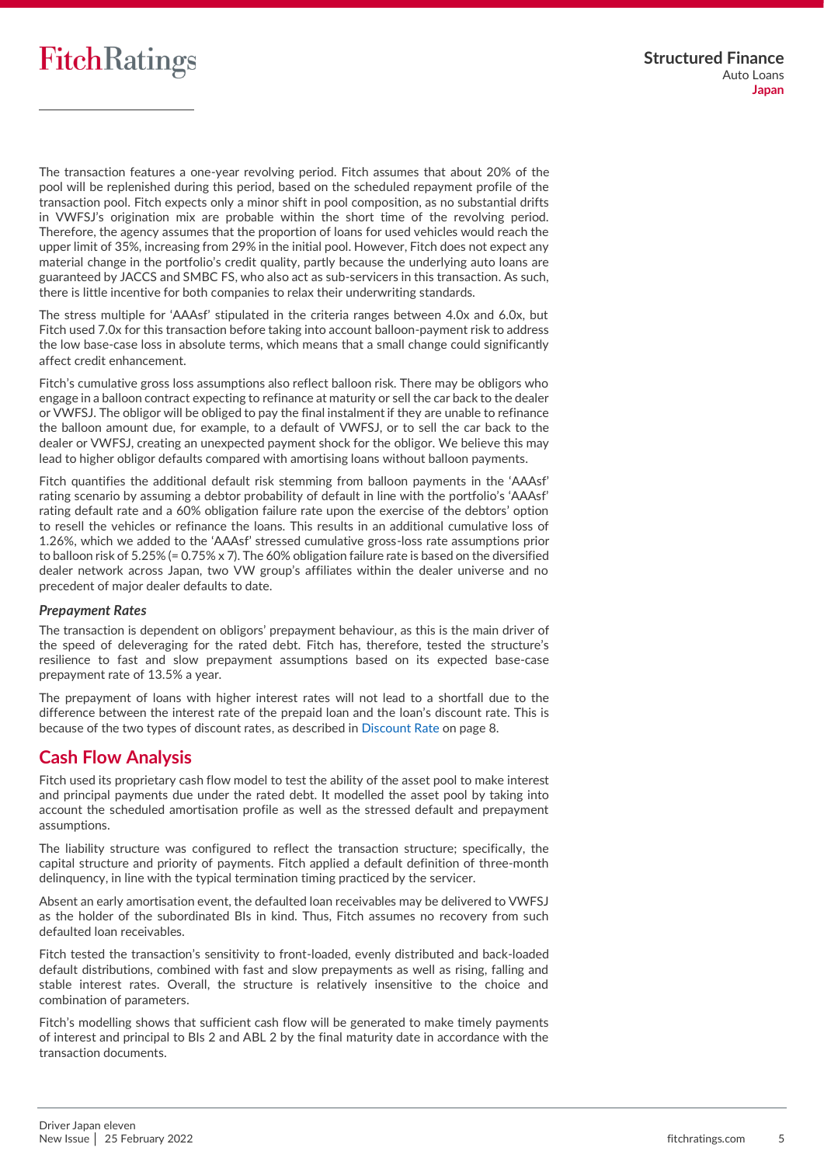

The transaction features a one-year revolving period. Fitch assumes that about 20% of the pool will be replenished during this period, based on the scheduled repayment profile of the transaction pool. Fitch expects only a minor shift in pool composition, as no substantial drifts in VWFSJ's origination mix are probable within the short time of the revolving period. Therefore, the agency assumes that the proportion of loans for used vehicles would reach the upper limit of 35%, increasing from 29% in the initial pool. However, Fitch does not expect any material change in the portfolio's credit quality, partly because the underlying auto loans are guaranteed by JACCS and SMBC FS, who also act as sub-servicers in this transaction. As such, there is little incentive for both companies to relax their underwriting standards.

The stress multiple for 'AAAsf' stipulated in the criteria ranges between 4.0x and 6.0x, but Fitch used 7.0x for this transaction before taking into account balloon-payment risk to address the low base-case loss in absolute terms, which means that a small change could significantly affect credit enhancement.

Fitch's cumulative gross loss assumptions also reflect balloon risk. There may be obligors who engage in a balloon contract expecting to refinance at maturity or sell the car back to the dealer or VWFSJ. The obligor will be obliged to pay the final instalment if they are unable to refinance the balloon amount due, for example, to a default of VWFSJ, or to sell the car back to the dealer or VWFSJ, creating an unexpected payment shock for the obligor. We believe this may lead to higher obligor defaults compared with amortising loans without balloon payments.

Fitch quantifies the additional default risk stemming from balloon payments in the 'AAAsf' rating scenario by assuming a debtor probability of default in line with the portfolio's 'AAAsf' rating default rate and a 60% obligation failure rate upon the exercise of the debtors' option to resell the vehicles or refinance the loans. This results in an additional cumulative loss of 1.26%, which we added to the 'AAAsf' stressed cumulative gross-loss rate assumptions prior to balloon risk of 5.25% (= 0.75% x 7). The 60% obligation failure rate is based on the diversified dealer network across Japan, two VW group's affiliates within the dealer universe and no precedent of major dealer defaults to date.

#### *Prepayment Rates*

The transaction is dependent on obligors' prepayment behaviour, as this is the main driver of the speed of deleveraging for the rated debt. Fitch has, therefore, tested the structure's resilience to fast and slow prepayment assumptions based on its expected base-case prepayment rate of 13.5% a year.

The prepayment of loans with higher interest rates will not lead to a shortfall due to the difference between the interest rate of the prepaid loan and the loan's discount rate. This is because of the two types of discount rates, as described i[n Discount Rate](#page-7-0) on page 8.

### <span id="page-4-0"></span>**Cash Flow Analysis**

Fitch used its proprietary cash flow model to test the ability of the asset pool to make interest and principal payments due under the rated debt. It modelled the asset pool by taking into account the scheduled amortisation profile as well as the stressed default and prepayment assumptions.

The liability structure was configured to reflect the transaction structure; specifically, the capital structure and priority of payments. Fitch applied a default definition of three-month delinquency, in line with the typical termination timing practiced by the servicer.

Absent an early amortisation event, the defaulted loan receivables may be delivered to VWFSJ as the holder of the subordinated BIs in kind. Thus, Fitch assumes no recovery from such defaulted loan receivables.

Fitch tested the transaction's sensitivity to front-loaded, evenly distributed and back-loaded default distributions, combined with fast and slow prepayments as well as rising, falling and stable interest rates. Overall, the structure is relatively insensitive to the choice and combination of parameters.

Fitch's modelling shows that sufficient cash flow will be generated to make timely payments of interest and principal to BIs 2 and ABL 2 by the final maturity date in accordance with the transaction documents.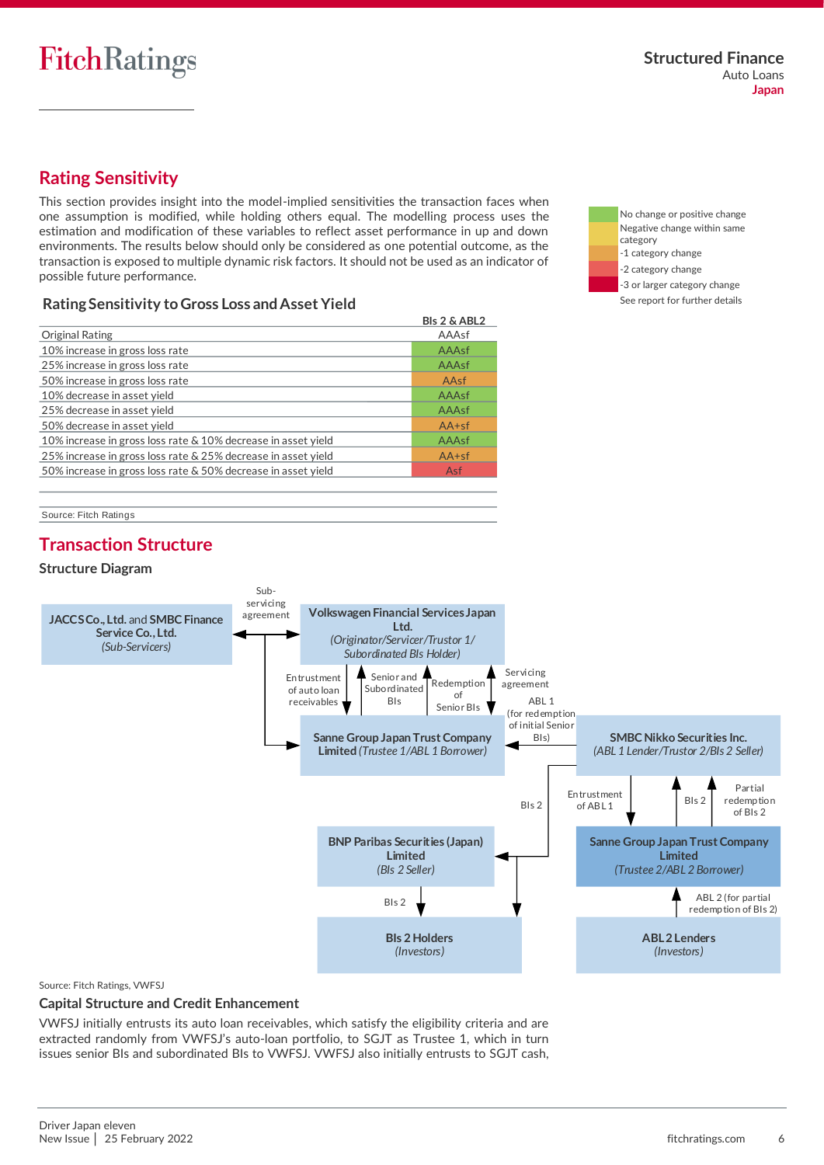## <span id="page-5-0"></span>**Rating Sensitivity**

This section provides insight into the model-implied sensitivities the transaction faces when one assumption is modified, while holding others equal. The modelling process uses the estimation and modification of these variables to reflect asset performance in up and down environments. The results below should only be considered as one potential outcome, as the transaction is exposed to multiple dynamic risk factors. It should not be used as an indicator of possible future performance.

### **Rating Sensitivity to Gross Loss and Asset Yield**

|                                                               | <b>BIs 2 &amp; ABL2</b> |
|---------------------------------------------------------------|-------------------------|
| Original Rating                                               | AAAsf                   |
| 10% increase in gross loss rate                               | AAAsf                   |
| 25% increase in gross loss rate                               | AAAsf                   |
| 50% increase in gross loss rate                               | AAsf                    |
| 10% decrease in asset yield                                   | AAAsf                   |
| 25% decrease in asset yield                                   | AAAsf                   |
| 50% decrease in asset yield                                   | $AA+sf$                 |
| 10% increase in gross loss rate & 10% decrease in asset yield | AAAsf                   |
| 25% increase in gross loss rate & 25% decrease in asset yield | $AA+sf$                 |
| 50% increase in gross loss rate & 50% decrease in asset yield | Asf                     |
|                                                               |                         |

No change or positive change Negative change within same category -1 category change -2 category change -3 or larger category change See report for further details

Source: Fitch Ratings

## <span id="page-5-1"></span>**Transaction Structure**

#### **Structure Diagram**



Source: Fitch Ratings, VWFSJ

#### **Capital Structure and Credit Enhancement**

VWFSJ initially entrusts its auto loan receivables, which satisfy the eligibility criteria and are extracted randomly from VWFSJ's auto-loan portfolio, to SGJT as Trustee 1, which in turn issues senior BIs and subordinated BIs to VWFSJ. VWFSJ also initially entrusts to SGJT cash,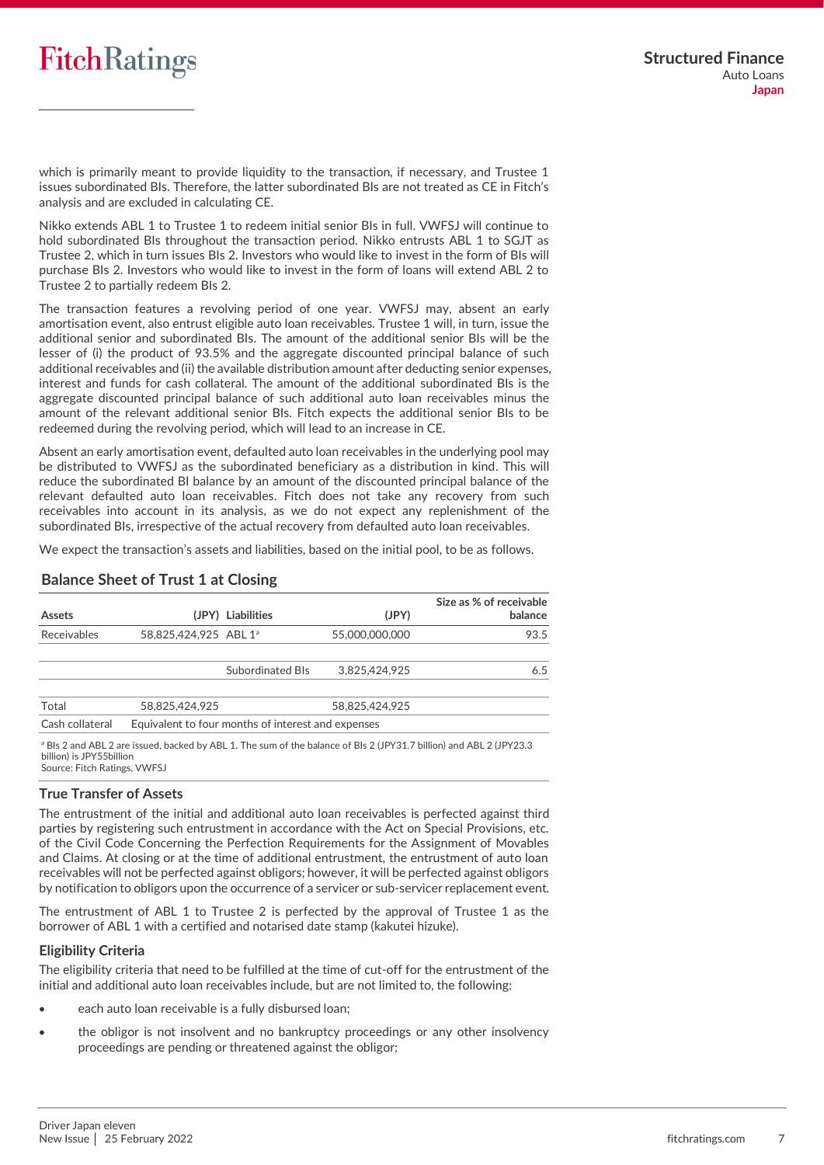which is primarily meant to provide liquidity to the transaction, if necessary, and Trustee 1 issues subordinated BIs. Therefore, the latter subordinated BIs are not treated as CE in Fitch's analysis and are excluded in calculating CE.

Nikko extends ABL 1 to Trustee 1 to redeem initial senior BIs in full. VWFSJ will continue to hold subordinated BIs throughout the transaction period. Nikko entrusts ABL 1 to SGJT as Trustee 2, which in turn issues BIs 2. Investors who would like to invest in the form of BIs will purchase BIs 2. Investors who would like to invest in the form of loans will extend ABL 2 to Trustee 2 to partially redeem BIs 2.

The transaction features a revolving period of one year. VWFSJ may, absent an early amortisation event, also entrust eligible auto loan receivables. Trustee 1 will, in turn, issue the additional senior and subordinated BIs. The amount of the additional senior BIs will be the lesser of (i) the product of 93.5% and the aggregate discounted principal balance of such additional receivables and (ii) the available distribution amount after deducting senior expenses, interest and funds for cash collateral. The amount of the additional subordinated BIs is the aggregate discounted principal balance of such additional auto loan receivables minus the amount of the relevant additional senior BIs. Fitch expects the additional senior BIs to be redeemed during the revolving period, which will lead to an increase in CE.

Absent an early amortisation event, defaulted auto loan receivables in the underlying pool may be distributed to VWFSJ as the subordinated beneficiary as a distribution in kind. This will reduce the subordinated BI balance by an amount of the discounted principal balance of the relevant defaulted auto loan receivables. Fitch does not take any recovery from such receivables into account in its analysis, as we do not expect any replenishment of the subordinated BIs, irrespective of the actual recovery from defaulted auto loan receivables.

We expect the transaction's assets and liabilities, based on the initial pool, to be as follows.

| <b>Assets</b>   |                       | (JPY) Liabilities                                  | (JPY)          | Size as % of receivable<br>balance |
|-----------------|-----------------------|----------------------------------------------------|----------------|------------------------------------|
| Receivables     | 58,825,424,925 ABL 1ª |                                                    | 55,000,000,000 | 93.5                               |
|                 |                       | Subordinated Bls                                   | 3.825.424.925  | 6.5                                |
| Total           | 58.825.424.925        |                                                    | 58.825.424.925 |                                    |
| Cash collateral |                       | Equivalent to four months of interest and expenses |                |                                    |

### **Balance Sheet of Trust 1 at Closing**

a BIs 2 and ABL 2 are issued, backed by ABL 1. The sum of the balance of BIs 2 (JPY31.7 billion) and ABL 2 (JPY23.3 billion) is JPY55billion Source: Fitch Ratings, VWFSJ

#### **True Transfer of Assets**

The entrustment of the initial and additional auto loan receivables is perfected against third parties by registering such entrustment in accordance with the Act on Special Provisions, etc. of the Civil Code Concerning the Perfection Requirements for the Assignment of Movables and Claims. At closing or at the time of additional entrustment, the entrustment of auto loan receivables will not be perfected against obligors; however, it will be perfected against obligors by notification to obligors upon the occurrence of a servicer or sub-servicer replacement event.

The entrustment of ABL 1 to Trustee 2 is perfected by the approval of Trustee 1 as the borrower of ABL 1 with a certified and notarised date stamp (kakutei hizuke).

#### **Eligibility Criteria**

The eligibility criteria that need to be fulfilled at the time of cut-off for the entrustment of the initial and additional auto loan receivables include, but are not limited to, the following:

- each auto loan receivable is a fully disbursed loan;
- the obligor is not insolvent and no bankruptcy proceedings or any other insolvency proceedings are pending or threatened against the obligor;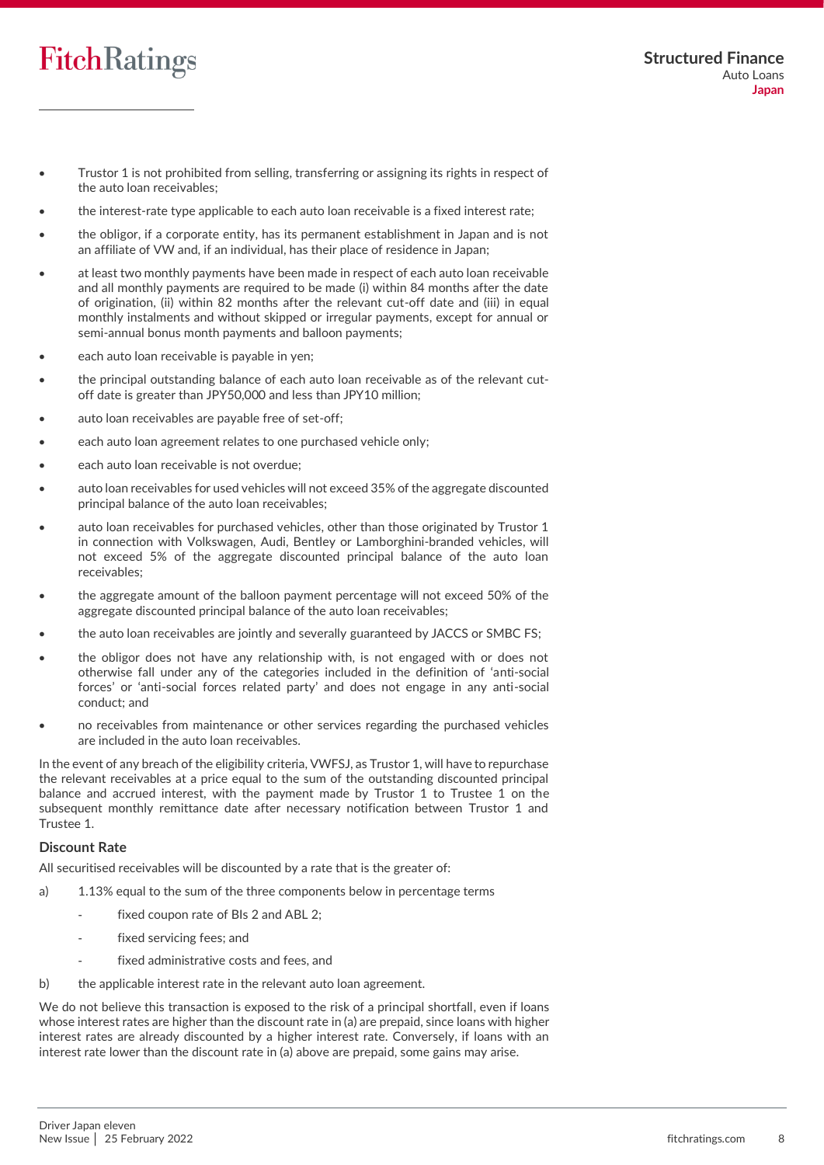- Trustor 1 is not prohibited from selling, transferring or assigning its rights in respect of the auto loan receivables;
- the interest-rate type applicable to each auto loan receivable is a fixed interest rate;
- the obligor, if a corporate entity, has its permanent establishment in Japan and is not an affiliate of VW and, if an individual, has their place of residence in Japan;
- at least two monthly payments have been made in respect of each auto loan receivable and all monthly payments are required to be made (i) within 84 months after the date of origination, (ii) within 82 months after the relevant cut-off date and (iii) in equal monthly instalments and without skipped or irregular payments, except for annual or semi-annual bonus month payments and balloon payments;
- each auto loan receivable is payable in yen;
- the principal outstanding balance of each auto loan receivable as of the relevant cutoff date is greater than JPY50,000 and less than JPY10 million;
- auto loan receivables are payable free of set-off;
- each auto loan agreement relates to one purchased vehicle only;
- each auto loan receivable is not overdue;
- auto loan receivables for used vehicles will not exceed 35% of the aggregate discounted principal balance of the auto loan receivables;
- auto loan receivables for purchased vehicles, other than those originated by Trustor 1 in connection with Volkswagen, Audi, Bentley or Lamborghini-branded vehicles, will not exceed 5% of the aggregate discounted principal balance of the auto loan receivables;
- the aggregate amount of the balloon payment percentage will not exceed 50% of the aggregate discounted principal balance of the auto loan receivables;
- the auto loan receivables are jointly and severally guaranteed by JACCS or SMBC FS;
- the obligor does not have any relationship with, is not engaged with or does not otherwise fall under any of the categories included in the definition of 'anti-social forces' or 'anti-social forces related party' and does not engage in any anti-social conduct; and
- no receivables from maintenance or other services regarding the purchased vehicles are included in the auto loan receivables.

In the event of any breach of the eligibility criteria, VWFSJ, as Trustor 1, will have to repurchase the relevant receivables at a price equal to the sum of the outstanding discounted principal balance and accrued interest, with the payment made by Trustor 1 to Trustee 1 on the subsequent monthly remittance date after necessary notification between Trustor 1 and Trustee 1.

#### <span id="page-7-0"></span>**Discount Rate**

All securitised receivables will be discounted by a rate that is the greater of:

- a) 1.13% equal to the sum of the three components below in percentage terms
	- fixed coupon rate of BIs 2 and ABL 2;
	- fixed servicing fees; and
	- fixed administrative costs and fees, and
- b) the applicable interest rate in the relevant auto loan agreement.

We do not believe this transaction is exposed to the risk of a principal shortfall, even if loans whose interest rates are higher than the discount rate in (a) are prepaid, since loans with higher interest rates are already discounted by a higher interest rate. Conversely, if loans with an interest rate lower than the discount rate in (a) above are prepaid, some gains may arise.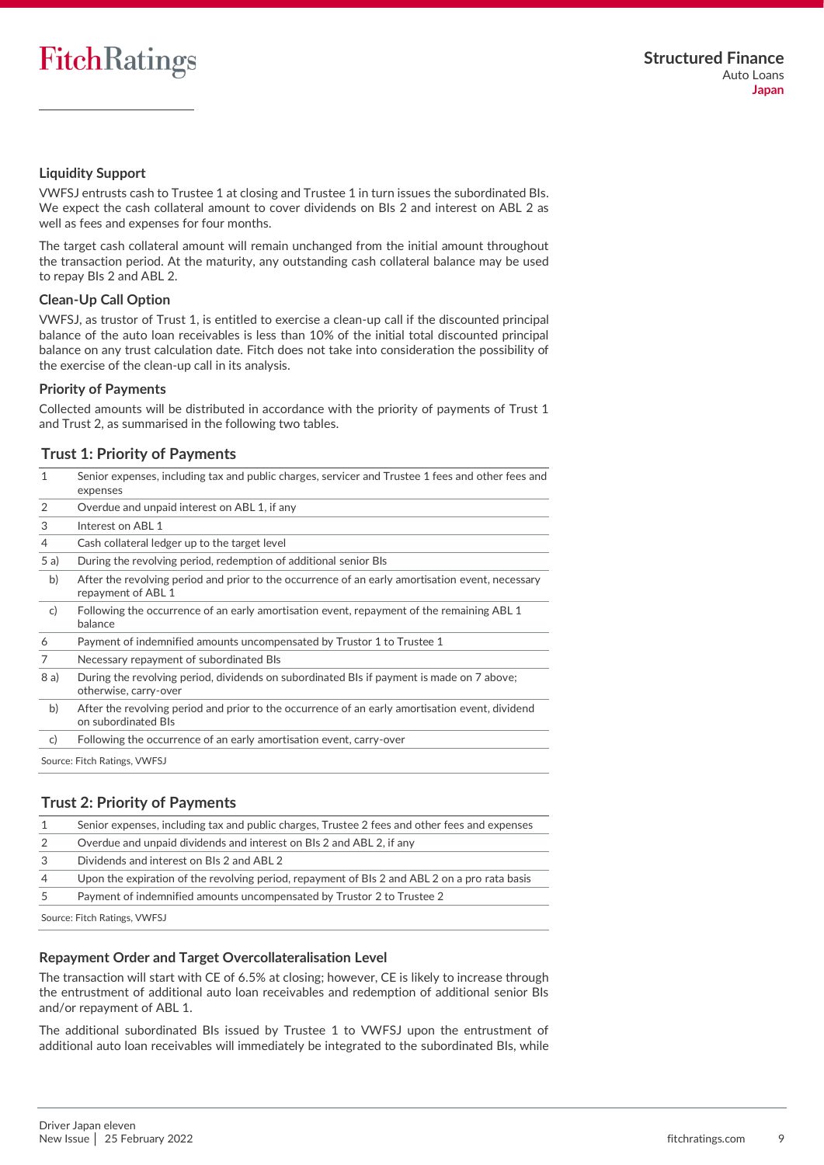### **Liquidity Support**

VWFSJ entrusts cash to Trustee 1 at closing and Trustee 1 in turn issues the subordinated BIs. We expect the cash collateral amount to cover dividends on BIs 2 and interest on ABL 2 as well as fees and expenses for four months.

The target cash collateral amount will remain unchanged from the initial amount throughout the transaction period. At the maturity, any outstanding cash collateral balance may be used to repay BIs 2 and ABL 2.

#### **Clean-Up Call Option**

VWFSJ, as trustor of Trust 1, is entitled to exercise a clean-up call if the discounted principal balance of the auto loan receivables is less than 10% of the initial total discounted principal balance on any trust calculation date. Fitch does not take into consideration the possibility of the exercise of the clean-up call in its analysis.

#### **Priority of Payments**

Collected amounts will be distributed in accordance with the priority of payments of Trust 1 and Trust 2, as summarised in the following two tables.

#### <span id="page-8-0"></span>**Trust 1: Priority of Payments**

| 1            | Senior expenses, including tax and public charges, servicer and Trustee 1 fees and other fees and<br>expenses          |
|--------------|------------------------------------------------------------------------------------------------------------------------|
| 2            | Overdue and unpaid interest on ABL 1, if any                                                                           |
| 3            | Interest on ABL 1                                                                                                      |
| 4            | Cash collateral ledger up to the target level                                                                          |
| 5a)          | During the revolving period, redemption of additional senior Bls                                                       |
| b)           | After the revolving period and prior to the occurrence of an early amortisation event, necessary<br>repayment of ABL 1 |
| $\mathsf{C}$ | Following the occurrence of an early amortisation event, repayment of the remaining ABL 1<br>balance                   |
| 6            | Payment of indemnified amounts uncompensated by Trustor 1 to Trustee 1                                                 |
| 7            | Necessary repayment of subordinated Bls                                                                                |
| 8 a)         | During the revolving period, dividends on subordinated BIs if payment is made on 7 above;<br>otherwise, carry-over     |
| b)           | After the revolving period and prior to the occurrence of an early amortisation event, dividend<br>on subordinated Bls |
| $\mathsf{C}$ | Following the occurrence of an early amortisation event, carry-over                                                    |
|              | Source: Fitch Ratings, VWFSJ                                                                                           |

#### **Trust 2: Priority of Payments**

| 1              | Senior expenses, including tax and public charges, Trustee 2 fees and other fees and expenses |
|----------------|-----------------------------------------------------------------------------------------------|
| 2              | Overdue and unpaid dividends and interest on BIs 2 and ABL 2, if any                          |
| 3              | Dividends and interest on BIs 2 and ABL 2                                                     |
| $\overline{4}$ | Upon the expiration of the revolving period, repayment of BIs 2 and ABL 2 on a pro rata basis |
| 5              | Payment of indemnified amounts uncompensated by Trustor 2 to Trustee 2                        |
|                |                                                                                               |

Source: Fitch Ratings, VWFSJ

#### **Repayment Order and Target Overcollateralisation Level**

The transaction will start with CE of 6.5% at closing; however, CE is likely to increase through the entrustment of additional auto loan receivables and redemption of additional senior BIs and/or repayment of ABL 1.

The additional subordinated BIs issued by Trustee 1 to VWFSJ upon the entrustment of additional auto loan receivables will immediately be integrated to the subordinated BIs, while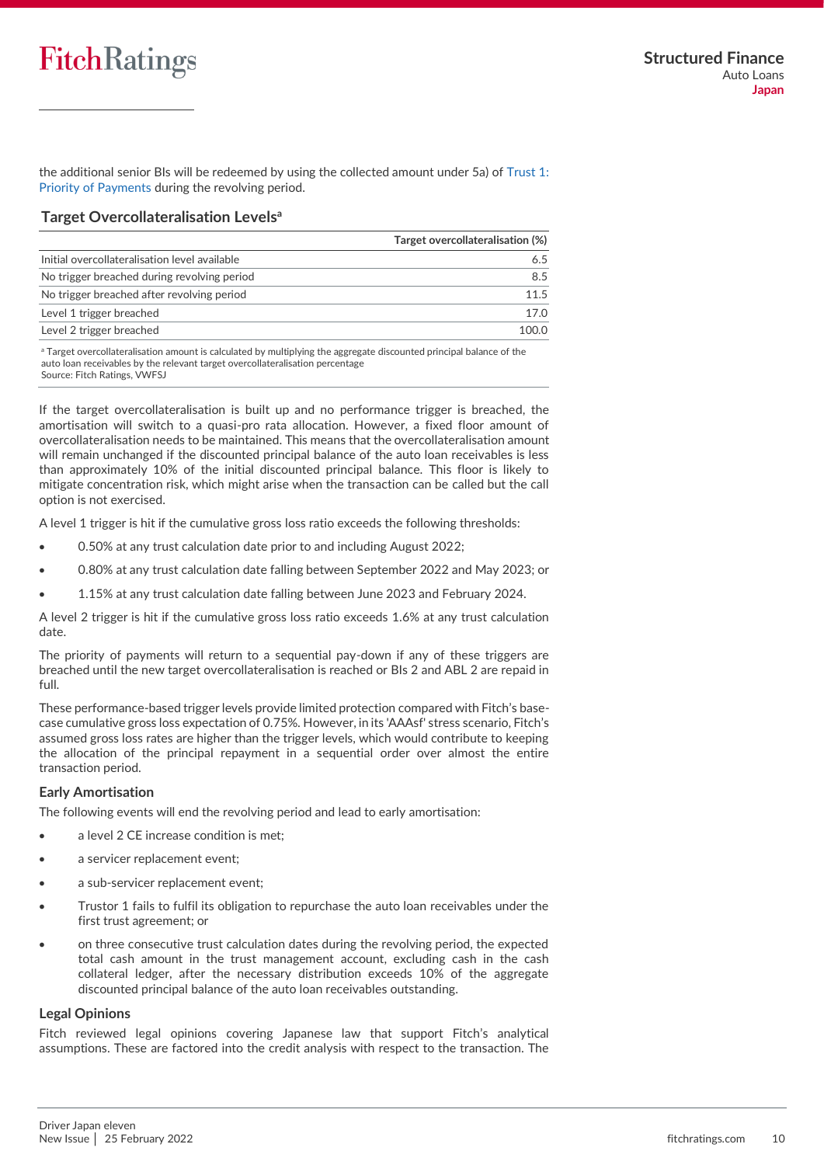the additional senior BIs will be redeemed by using the collected amount under 5a) of [Trust 1:](#page-8-0)  [Priority of Payments](#page-8-0) during the revolving period.

### **Target Overcollateralisation Levels<sup>a</sup>**

|                                               | Target overcollateralisation (%) |
|-----------------------------------------------|----------------------------------|
| Initial overcollateralisation level available |                                  |
| No trigger breached during revolving period   | 8.5                              |
| No trigger breached after revolving period    | 115                              |
| Level 1 trigger breached                      | 17 O                             |
| Level 2 trigger breached                      | 1 N N N                          |

<sup>a</sup> Target overcollateralisation amount is calculated by multiplying the aggregate discounted principal balance of the auto loan receivables by the relevant target overcollateralisation percentage Source: Fitch Ratings, VWFSJ

If the target overcollateralisation is built up and no performance trigger is breached, the amortisation will switch to a quasi-pro rata allocation. However, a fixed floor amount of overcollateralisation needs to be maintained. This means that the overcollateralisation amount will remain unchanged if the discounted principal balance of the auto loan receivables is less than approximately 10% of the initial discounted principal balance. This floor is likely to mitigate concentration risk, which might arise when the transaction can be called but the call option is not exercised.

A level 1 trigger is hit if the cumulative gross loss ratio exceeds the following thresholds:

- 0.50% at any trust calculation date prior to and including August 2022;
- 0.80% at any trust calculation date falling between September 2022 and May 2023; or
- 1.15% at any trust calculation date falling between June 2023 and February 2024.

A level 2 trigger is hit if the cumulative gross loss ratio exceeds 1.6% at any trust calculation date.

The priority of payments will return to a sequential pay-down if any of these triggers are breached until the new target overcollateralisation is reached or BIs 2 and ABL 2 are repaid in full.

These performance-based trigger levels provide limited protection compared with Fitch's basecase cumulative gross loss expectation of 0.75%. However, in its 'AAAsf' stress scenario, Fitch's assumed gross loss rates are higher than the trigger levels, which would contribute to keeping the allocation of the principal repayment in a sequential order over almost the entire transaction period.

#### **Early Amortisation**

The following events will end the revolving period and lead to early amortisation:

- a level 2 CE increase condition is met:
- a servicer replacement event:
- a sub-servicer replacement event;
- Trustor 1 fails to fulfil its obligation to repurchase the auto loan receivables under the first trust agreement; or
- on three consecutive trust calculation dates during the revolving period, the expected total cash amount in the trust management account, excluding cash in the cash collateral ledger, after the necessary distribution exceeds 10% of the aggregate discounted principal balance of the auto loan receivables outstanding.

#### **Legal Opinions**

Fitch reviewed legal opinions covering Japanese law that support Fitch's analytical assumptions. These are factored into the credit analysis with respect to the transaction. The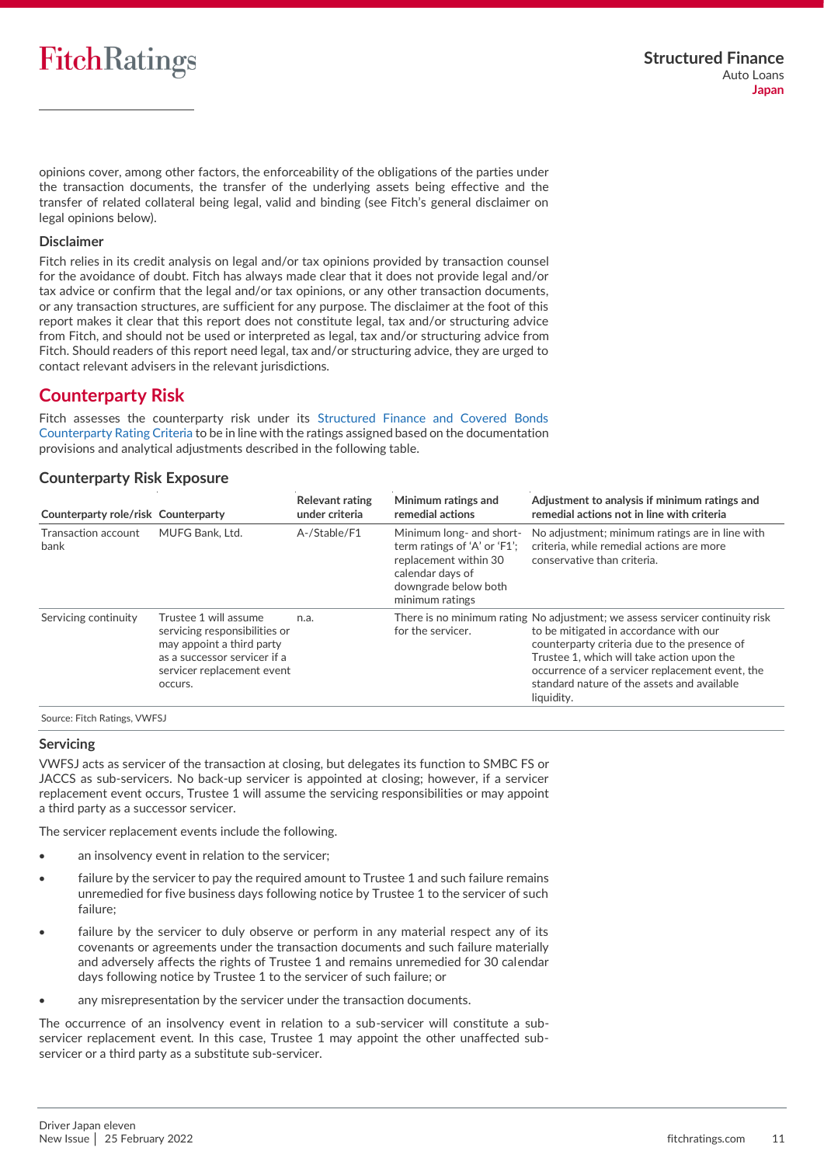opinions cover, among other factors, the enforceability of the obligations of the parties under the transaction documents, the transfer of the underlying assets being effective and the transfer of related collateral being legal, valid and binding (see Fitch's general disclaimer on legal opinions below).

#### **Disclaimer**

Fitch relies in its credit analysis on legal and/or tax opinions provided by transaction counsel for the avoidance of doubt. Fitch has always made clear that it does not provide legal and/or tax advice or confirm that the legal and/or tax opinions, or any other transaction documents, or any transaction structures, are sufficient for any purpose. The disclaimer at the foot of this report makes it clear that this report does not constitute legal, tax and/or structuring advice from Fitch, and should not be used or interpreted as legal, tax and/or structuring advice from Fitch. Should readers of this report need legal, tax and/or structuring advice, they are urged to contact relevant advisers in the relevant jurisdictions.

### <span id="page-10-0"></span>**Counterparty Risk**

Fitch assesses the counterparty risk under its [Structured Finance and Covered Bonds](https://www.fitchratings.com/research/structured-finance/structured-finance-covered-bonds-counterparty-rating-criteria-04-11-2021)  [Counterparty Rating Criteria](https://www.fitchratings.com/research/structured-finance/structured-finance-covered-bonds-counterparty-rating-criteria-04-11-2021) to be in line with the ratings assigned based on the documentation provisions and analytical adjustments described in the following table.

#### **Counterparty Risk Exposure**

| Counterparty role/risk Counterparty |                                                                                                                                                              | <b>Relevant rating</b><br>under criteria | Minimum ratings and<br>remedial actions                                                                                                          | Adjustment to analysis if minimum ratings and<br>remedial actions not in line with criteria                                                                                                                                                                                                                                          |
|-------------------------------------|--------------------------------------------------------------------------------------------------------------------------------------------------------------|------------------------------------------|--------------------------------------------------------------------------------------------------------------------------------------------------|--------------------------------------------------------------------------------------------------------------------------------------------------------------------------------------------------------------------------------------------------------------------------------------------------------------------------------------|
| Transaction account<br>bank         | MUFG Bank. Ltd.                                                                                                                                              | A-/Stable/F1                             | Minimum long- and short-<br>term ratings of 'A' or 'F1';<br>replacement within 30<br>calendar days of<br>downgrade below both<br>minimum ratings | No adjustment; minimum ratings are in line with<br>criteria, while remedial actions are more<br>conservative than criteria.                                                                                                                                                                                                          |
| Servicing continuity                | Trustee 1 will assume<br>servicing responsibilities or<br>may appoint a third party<br>as a successor servicer if a<br>servicer replacement event<br>occurs. | n.a.                                     | for the servicer.                                                                                                                                | There is no minimum rating No adjustment; we assess servicer continuity risk<br>to be mitigated in accordance with our<br>counterparty criteria due to the presence of<br>Trustee 1, which will take action upon the<br>occurrence of a servicer replacement event, the<br>standard nature of the assets and available<br>liquidity. |

Source: Fitch Ratings, VWFSJ

#### <span id="page-10-1"></span>**Servicing**

VWFSJ acts as servicer of the transaction at closing, but delegates its function to SMBC FS or JACCS as sub-servicers. No back-up servicer is appointed at closing; however, if a servicer replacement event occurs, Trustee 1 will assume the servicing responsibilities or may appoint a third party as a successor servicer.

The servicer replacement events include the following.

- an insolvency event in relation to the servicer;
- failure by the servicer to pay the required amount to Trustee 1 and such failure remains unremedied for five business days following notice by Trustee 1 to the servicer of such failure;
- failure by the servicer to duly observe or perform in any material respect any of its covenants or agreements under the transaction documents and such failure materially and adversely affects the rights of Trustee 1 and remains unremedied for 30 calendar days following notice by Trustee 1 to the servicer of such failure; or
- any misrepresentation by the servicer under the transaction documents.

The occurrence of an insolvency event in relation to a sub-servicer will constitute a subservicer replacement event. In this case, Trustee 1 may appoint the other unaffected subservicer or a third party as a substitute sub-servicer.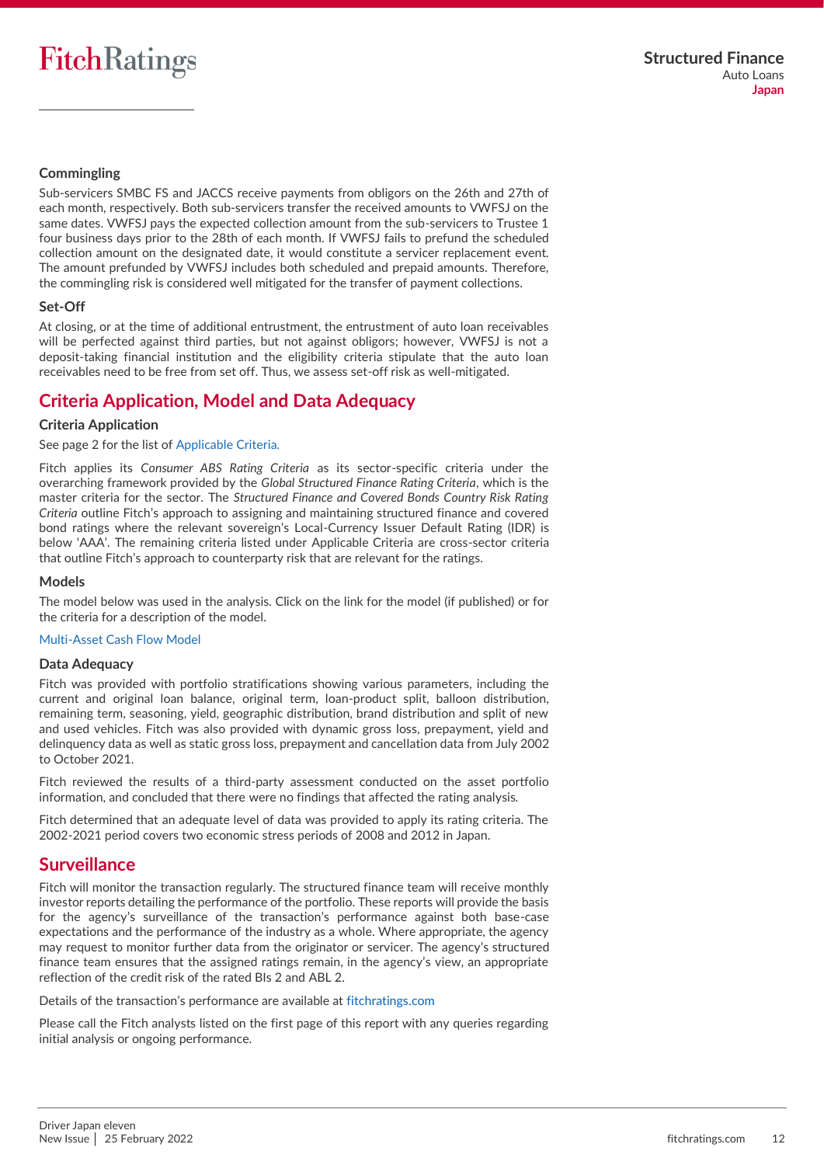#### **Commingling**

Sub-servicers SMBC FS and JACCS receive payments from obligors on the 26th and 27th of each month, respectively. Both sub-servicers transfer the received amounts to VWFSJ on the same dates. VWFSJ pays the expected collection amount from the sub-servicers to Trustee 1 four business days prior to the 28th of each month. If VWFSJ fails to prefund the scheduled collection amount on the designated date, it would constitute a servicer replacement event. The amount prefunded by VWFSJ includes both scheduled and prepaid amounts. Therefore, the commingling risk is considered well mitigated for the transfer of payment collections.

#### **Set-Off**

At closing, or at the time of additional entrustment, the entrustment of auto loan receivables will be perfected against third parties, but not against obligors; however, VWFSJ is not a deposit-taking financial institution and the eligibility criteria stipulate that the auto loan receivables need to be free from set off. Thus, we assess set-off risk as well-mitigated.

## <span id="page-11-0"></span>**Criteria Application, Model and Data Adequacy**

#### **Criteria Application**

See page 2 for the list of [Applicable Criteria.](#page-1-2)

Fitch applies its *Consumer ABS Rating Criteria* as its sector-specific criteria under the overarching framework provided by the *Global Structured Finance Rating Criteria*, which is the master criteria for the sector. The *Structured Finance and Covered Bonds Country Risk Rating Criteria* outline Fitch's approach to assigning and maintaining structured finance and covered bond ratings where the relevant sovereign's Local-Currency Issuer Default Rating (IDR) is below 'AAA'. The remaining criteria listed under [Applicable Criteria](#page-1-3) are cross-sector criteria that outline Fitch's approach to counterparty risk that are relevant for the ratings.

#### **Models**

The model below was used in the analysis. Click on the link for the model (if published) or for the criteria for a description of the model.

#### [Multi-Asset Cash Flow Model](https://www.fitchratings.com/site/structuredfinance/emeacfm)

#### **Data Adequacy**

Fitch was provided with portfolio stratifications showing various parameters, including the current and original loan balance, original term, loan-product split, balloon distribution, remaining term, seasoning, yield, geographic distribution, brand distribution and split of new and used vehicles. Fitch was also provided with dynamic gross loss, prepayment, yield and delinquency data as well as static gross loss, prepayment and cancellation data from July 2002 to October 2021.

Fitch reviewed the results of a third-party assessment conducted on the asset portfolio information, and concluded that there were no findings that affected the rating analysis.

Fitch determined that an adequate level of data was provided to apply its rating criteria. The 2002-2021 period covers two economic stress periods of 2008 and 2012 in Japan.

### <span id="page-11-1"></span>**Surveillance**

Fitch will monitor the transaction regularly. The structured finance team will receive monthly investor reports detailing the performance of the portfolio. These reports will provide the basis for the agency's surveillance of the transaction's performance against both base-case expectations and the performance of the industry as a whole. Where appropriate, the agency may request to monitor further data from the originator or servicer. The agency's structured finance team ensures that the assigned ratings remain, in the agency's view, an appropriate reflection of the credit risk of the rated BIs 2 and ABL 2.

Details of the transaction's performance are available at [fitchratings.com](https://www.fitchratings.com/site/home)

Please call the Fitch analysts listed on the first page of this report with any queries regarding initial analysis or ongoing performance.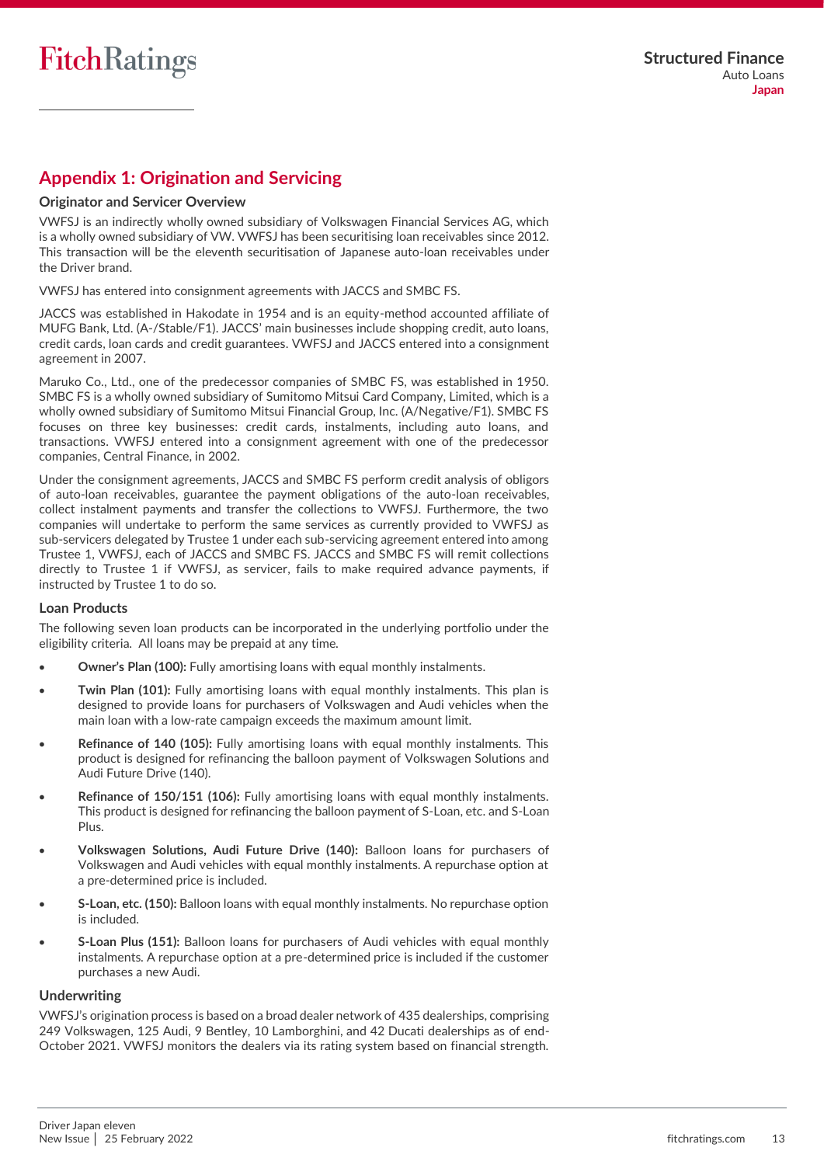## <span id="page-12-0"></span>**Appendix 1: Origination and Servicing**

#### **Originator and Servicer Overview**

VWFSJ is an indirectly wholly owned subsidiary of Volkswagen Financial Services AG, which is a wholly owned subsidiary of VW. VWFSJ has been securitising loan receivables since 2012. This transaction will be the eleventh securitisation of Japanese auto-loan receivables under the Driver brand.

VWFSJ has entered into consignment agreements with JACCS and SMBC FS.

JACCS was established in Hakodate in 1954 and is an equity-method accounted affiliate of MUFG Bank, Ltd. (A-/Stable/F1). JACCS' main businesses include shopping credit, auto loans, credit cards, loan cards and credit guarantees. VWFSJ and JACCS entered into a consignment agreement in 2007.

Maruko Co., Ltd., one of the predecessor companies of SMBC FS, was established in 1950. SMBC FS is a wholly owned subsidiary of Sumitomo Mitsui Card Company, Limited, which is a wholly owned subsidiary of Sumitomo Mitsui Financial Group, Inc. (A/Negative/F1). SMBC FS focuses on three key businesses: credit cards, instalments, including auto loans, and transactions. VWFSJ entered into a consignment agreement with one of the predecessor companies, Central Finance, in 2002.

Under the consignment agreements, JACCS and SMBC FS perform credit analysis of obligors of auto-loan receivables, guarantee the payment obligations of the auto-loan receivables, collect instalment payments and transfer the collections to VWFSJ. Furthermore, the two companies will undertake to perform the same services as currently provided to VWFSJ as sub-servicers delegated by Trustee 1 under each sub-servicing agreement entered into among Trustee 1, VWFSJ, each of JACCS and SMBC FS. JACCS and SMBC FS will remit collections directly to Trustee 1 if VWFSJ, as servicer, fails to make required advance payments, if instructed by Trustee 1 to do so.

#### **Loan Products**

The following seven loan products can be incorporated in the underlying portfolio under the eligibility criteria. All loans may be prepaid at any time.

- **Owner's Plan (100):** Fully amortising loans with equal monthly instalments.
- **Twin Plan (101):** Fully amortising loans with equal monthly instalments. This plan is designed to provide loans for purchasers of Volkswagen and Audi vehicles when the main loan with a low-rate campaign exceeds the maximum amount limit.
- **Refinance of 140 (105):** Fully amortising loans with equal monthly instalments. This product is designed for refinancing the balloon payment of Volkswagen Solutions and Audi Future Drive (140).
- **Refinance of 150/151 (106):** Fully amortising loans with equal monthly instalments. This product is designed for refinancing the balloon payment of S-Loan, etc. and S-Loan Plus.
- **Volkswagen Solutions, Audi Future Drive (140):** Balloon loans for purchasers of Volkswagen and Audi vehicles with equal monthly instalments. A repurchase option at a pre-determined price is included.
- **S-Loan, etc. (150):** Balloon loans with equal monthly instalments. No repurchase option is included.
- **S-Loan Plus (151):** Balloon loans for purchasers of Audi vehicles with equal monthly instalments. A repurchase option at a pre-determined price is included if the customer purchases a new Audi.

#### **Underwriting**

VWFSJ's origination process is based on a broad dealer network of 435 dealerships, comprising 249 Volkswagen, 125 Audi, 9 Bentley, 10 Lamborghini, and 42 Ducati dealerships as of end-October 2021. VWFSJ monitors the dealers via its rating system based on financial strength.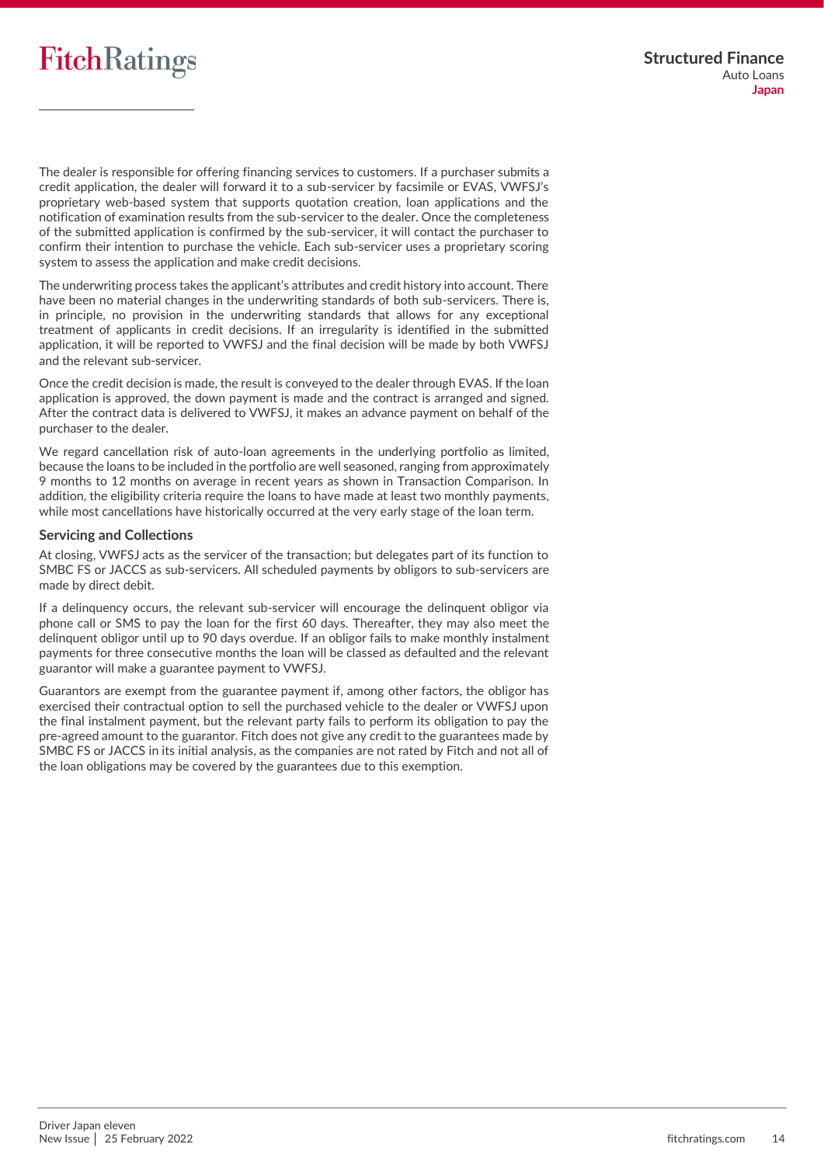The dealer is responsible for offering financing services to customers. If a purchaser submits a credit application, the dealer will forward it to a sub-servicer by facsimile or EVAS, VWFSJ's proprietary web-based system that supports quotation creation, loan applications and the notification of examination results from the sub-servicer to the dealer. Once the completeness of the submitted application is confirmed by the sub-servicer, it will contact the purchaser to confirm their intention to purchase the vehicle. Each sub-servicer uses a proprietary scoring system to assess the application and make credit decisions.

The underwriting process takes the applicant's attributes and credit history into account. There have been no material changes in the underwriting standards of both sub-servicers. There is, in principle, no provision in the underwriting standards that allows for any exceptional treatment of applicants in credit decisions. If an irregularity is identified in the submitted application, it will be reported to VWFSJ and the final decision will be made by both VWFSJ and the relevant sub-servicer.

Once the credit decision is made, the result is conveyed to the dealer through EVAS. If the loan application is approved, the down payment is made and the contract is arranged and signed. After the contract data is delivered to VWFSJ, it makes an advance payment on behalf of the purchaser to the dealer.

We regard cancellation risk of auto-loan agreements in the underlying portfolio as limited, because the loans to be included in the portfolio are well seasoned, ranging from approximately 9 months to 12 months on average in recent years as shown in Transaction Comparison. In addition, the eligibility criteria require the loans to have made at least two monthly payments, while most cancellations have historically occurred at the very early stage of the loan term.

#### **Servicing and Collections**

At closing, VWFSJ acts as the servicer of the transaction; but delegates part of its function to SMBC FS or JACCS as sub-servicers. All scheduled payments by obligors to sub-servicers are made by direct debit.

If a delinquency occurs, the relevant sub-servicer will encourage the delinquent obligor via phone call or SMS to pay the loan for the first 60 days. Thereafter, they may also meet the delinquent obligor until up to 90 days overdue. If an obligor fails to make monthly instalment payments for three consecutive months the loan will be classed as defaulted and the relevant guarantor will make a guarantee payment to VWFSJ.

Guarantors are exempt from the guarantee payment if, among other factors, the obligor has exercised their contractual option to sell the purchased vehicle to the dealer or VWFSJ upon the final instalment payment, but the relevant party fails to perform its obligation to pay the pre-agreed amount to the guarantor. Fitch does not give any credit to the guarantees made by SMBC FS or JACCS in its initial analysis, as the companies are not rated by Fitch and not all of the loan obligations may be covered by the guarantees due to this exemption.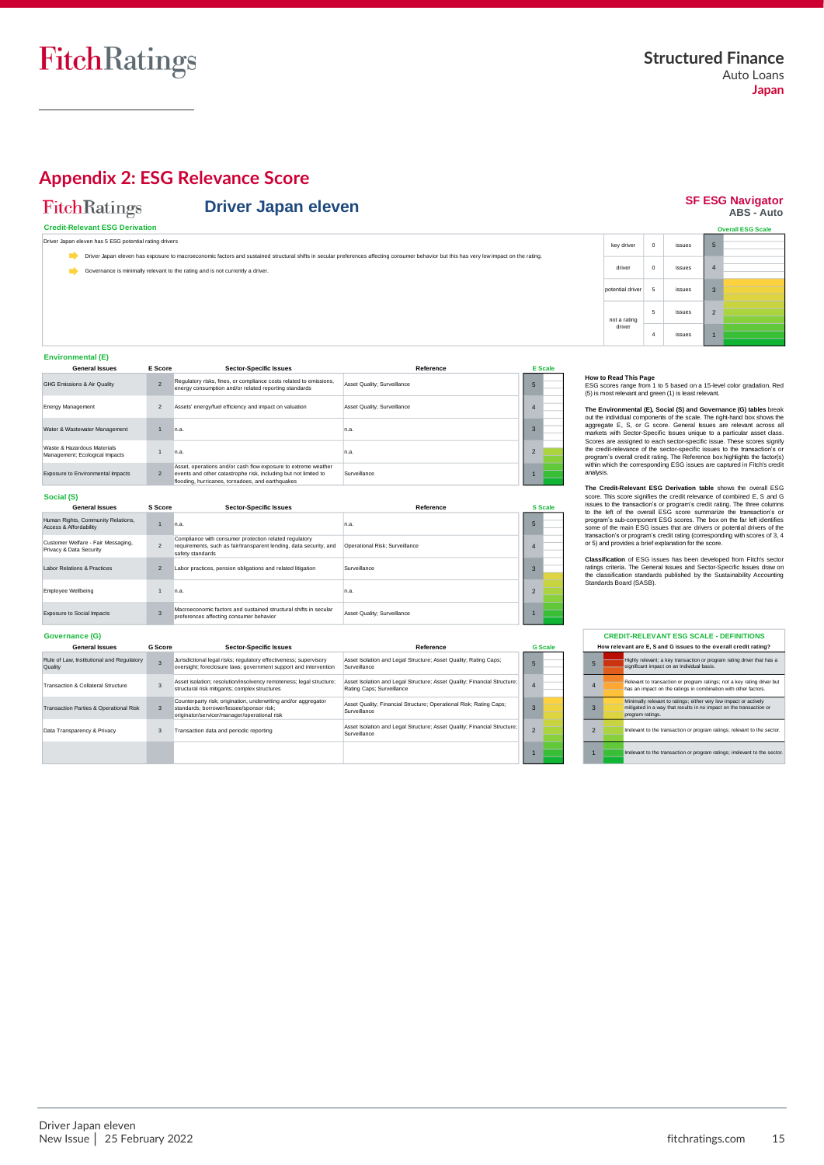**SF ESG Navigator**<br>ABS - Auto

## <span id="page-14-0"></span>**Appendix 2: ESG Relevance Score**

## FitchRatings

#### **Credit-Relevant ESG Derivation**

oan eleven has 5 ESG potential rating drivers

Driver Japan eleven has exposure to macroeconomic factors and sustained structural shifts in secular preferences affecting consumer behavior but this has very low impact on the rating. Driver Japan eleven has exposure to macr

**Driver Japan eleven** 

Governance is minimally relevant to the rating and is not currently a driver.

|                  |          |        |                | <b>Overall ESG Scale</b> |
|------------------|----------|--------|----------------|--------------------------|
| key driver       | $\Omega$ | issues | 5              |                          |
| driver           | $\Omega$ | issues | $\overline{4}$ |                          |
| potential driver | 5        | issues | $\overline{3}$ |                          |
| not a rating     | 5        | issues | $\overline{2}$ |                          |
| driver           | 4        | issues |                |                          |

#### **Environmental (E)**

| <b>General Issues</b>                                         | E Score                  | <b>Sector-Specific Issues</b>                                                                                                                                                         | Reference                   | <b>E</b> Scale |
|---------------------------------------------------------------|--------------------------|---------------------------------------------------------------------------------------------------------------------------------------------------------------------------------------|-----------------------------|----------------|
| GHG Emissions & Air Quality                                   | $\overline{\phantom{a}}$ | Regulatory risks, fines, or compliance costs related to emissions,<br>energy consumption and/or related reporting standards                                                           | Asset Quality: Surveillance |                |
| <b>Energy Management</b>                                      | $\overline{2}$           | Assets' energy/fuel efficiency and impact on valuation                                                                                                                                | Asset Quality: Surveillance |                |
| Water & Wastewater Management                                 |                          | n.a.                                                                                                                                                                                  | n.a.                        |                |
| Waste & Hazardous Materials<br>Management; Ecological Impacts |                          | n.a.                                                                                                                                                                                  | n.a.                        |                |
| Exposure to Environmental Impacts                             | $\overline{2}$           | Asset, operations and/or cash flow exposure to extreme weather<br>events and other catastrophe risk, including but not limited to<br>flooding, hurricanes, tornadoes, and earthquakes | Surveillance                |                |

#### **Social (S)**

| <b>General Issues</b>                                         | S Score        | <b>Sector-Specific Issues</b>                                                                                                                    | Reference                      |               | <b>S</b> Scale |
|---------------------------------------------------------------|----------------|--------------------------------------------------------------------------------------------------------------------------------------------------|--------------------------------|---------------|----------------|
| Human Rights, Community Relations,<br>Access & Affordability  |                | n.a.                                                                                                                                             | n.a.                           | 5             |                |
| Customer Welfare - Fair Messaging,<br>Privacy & Data Security | $\mathfrak{p}$ | Compliance with consumer protection related regulatory<br>requirements, such as fair/transparent lending, data security, and<br>safety standards | Operational Risk: Surveillance | 4             |                |
| Labor Relations & Practices                                   | $\overline{2}$ | Labor practices, pension obligations and related litigation                                                                                      | Surveillance                   | $\mathbf{3}$  |                |
| Employee Wellbeing                                            |                | n.a.                                                                                                                                             | n.a.                           | $\mathcal{D}$ |                |
| Exposure to Social Impacts                                    | $\overline{3}$ | Macroeconomic factors and sustained structural shifts in secular<br>preferences affecting consumer behavior                                      | Asset Quality: Surveillance    |               |                |

| Governance (G)                                       |                |                                                                                                                                                            |                                                                                                       |   |                |
|------------------------------------------------------|----------------|------------------------------------------------------------------------------------------------------------------------------------------------------------|-------------------------------------------------------------------------------------------------------|---|----------------|
| <b>General Issues</b>                                | <b>G</b> Score | <b>Sector-Specific Issues</b>                                                                                                                              | Reference                                                                                             |   | <b>G</b> Scale |
| Rule of Law, Institutional and Regulatory<br>Quality |                | Jurisdictional legal risks; regulatory effectiveness; supervisory<br>oversight: foreclosure laws: government support and intervention                      | Asset Isolation and Legal Structure; Asset Quality; Rating Caps;<br>Surveillance                      | 5 |                |
| Transaction & Collateral Structure                   |                | Asset isolation; resolution/insolvency remoteness; legal structure;<br>structural risk mitigants: complex structures                                       | Asset Isolation and Legal Structure; Asset Quality; Financial Structure;<br>Rating Caps; Surveillance | 4 |                |
| <b>Transaction Parties &amp; Operational Risk</b>    | 3              | Counterparty risk; origination, underwriting and/or aggregator<br>standards: borrower/lessee/sponsor risk:<br>originator/servicer/manager/operational risk | Asset Quality: Financial Structure: Operational Risk: Rating Caps:<br>Surveillance                    |   |                |
| Data Transparency & Privacy                          | 3              | Transaction data and periodic reporting                                                                                                                    | Asset Isolation and Legal Structure; Asset Quality; Financial Structure;<br>Surveillance              |   |                |
|                                                      |                |                                                                                                                                                            |                                                                                                       |   |                |

**How to Read This Page**<br>ESG scores range from 1 to 5 based on a 15-level color gradation. Red<br>(5) is most relevant and green (1) is least relevant.

**The Environmental (E), Social (S) and Governance (G) tables** break out the individual components of the scale. The right-hand box shows the spagnage agregate E, S, or G score. General issues are relevant across all markets with Sector-Specific Issues unique to a particular asset class. Sc

The Credit-Relevant ESG Derivation table shows the overall ESG<br>score. This score signifies the credit relevance of combined E, S and G<br>issues to the transactions or program's credit rating. The three columns<br>to the left of

**Classification** of ESG issues has been developed from Fitch's sector<br>ratings criteria. The General Issues and Sector-Specific Issues draw on<br>the classification standards published by the Sustainability Accounting<br>Standard

|                | <b>CREDIT-RELEVANT ESG SCALE - DEFINITIONS</b> |                                                                                                                                                             |  |  |  |
|----------------|------------------------------------------------|-------------------------------------------------------------------------------------------------------------------------------------------------------------|--|--|--|
|                |                                                | How relevant are E. S and G issues to the overall credit rating?                                                                                            |  |  |  |
| 5              |                                                | Highly relevant: a key transaction or program rating driver that has a<br>significant impact on an individual basis.                                        |  |  |  |
| $\overline{4}$ |                                                | Relevant to transaction or program ratings: not a key rating driver but<br>has an impact on the ratings in combination with other factors.                  |  |  |  |
| 3              |                                                | Minimally relevant to ratings; either very low impact or actively<br>mitigated in a way that results in no impact on the transaction or<br>program ratings. |  |  |  |
| $\mathfrak{D}$ |                                                | Irrelevant to the transaction or program ratings; relevant to the sector.                                                                                   |  |  |  |
| 1              |                                                | Irrelevant to the transaction or program ratings: irrelevant to the sector.                                                                                 |  |  |  |